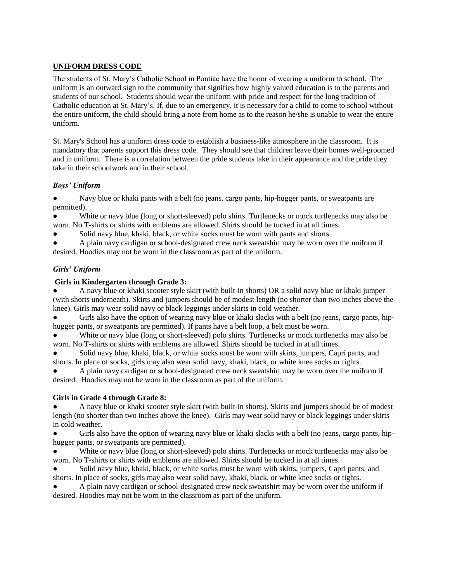# **UNIFORM DRESS CODE**

The students of St. Mary's Catholic School in Pontiac have the honor of wearing a uniform to school. The uniform is an outward sign to the community that signifies how highly valued education is to the parents and students of our school. Students should wear the uniform with pride and respect for the long tradition of Catholic education at St. Mary's. If, due to an emergency, it is necessary for a child to come to school without the entire uniform, the child should bring a note from home as to the reason he/she is unable to wear the entire uniform.

St. Mary's School has a uniform dress code to establish a business-like atmosphere in the classroom. It is mandatory that parents support this dress code. They should see that children leave their homes well-groomed and in uniform. There is a correlation between the pride students take in their appearance and the pride they take in their schoolwork and in their school.

# *Boys' Uniform*

Navy blue or khaki pants with a belt (no jeans, cargo pants, hip-hugger pants, or sweatpants are permitted).

White or navy blue (long or short-sleeved) polo shirts. Turtlenecks or mock turtlenecks may also be worn. No T-shirts or shirts with emblems are allowed. Shirts should be tucked in at all times.

Solid navy blue, khaki, black, or white socks must be worn with pants and shorts.

A plain navy cardigan or school-designated crew neck sweatshirt may be worn over the uniform if desired. Hoodies may not be worn in the classroom as part of the uniform.

# *Girls' Uniform*

# **Girls in Kindergarten through Grade 3:**

● A navy blue or khaki scooter style skirt (with built-in shorts) OR a solid navy blue or khaki jumper (with shorts underneath). Skirts and jumpers should be of modest length (no shorter than two inches above the knee). Girls may wear solid navy or black leggings under skirts in cold weather.

Girls also have the option of wearing navy blue or khaki slacks with a belt (no jeans, cargo pants, hiphugger pants, or sweatpants are permitted). If pants have a belt loop, a belt must be worn.

White or navy blue (long or short-sleeved) polo shirts. Turtlenecks or mock turtlenecks may also be worn. No T-shirts or shirts with emblems are allowed. Shirts should be tucked in at all times.

Solid navy blue, khaki, black, or white socks must be worn with skirts, jumpers, Capri pants, and shorts. In place of socks, girls may also wear solid navy, khaki, black, or white knee socks or tights.

A plain navy cardigan or school-designated crew neck sweatshirt may be worn over the uniform if desired. Hoodies may not be worn in the classroom as part of the uniform.

# **Girls in Grade 4 through Grade 8:**

● A navy blue or khaki scooter style skirt (with built-in shorts). Skirts and jumpers should be of modest length (no shorter than two inches above the knee). Girls may wear solid navy or black leggings under skirts in cold weather.

Girls also have the option of wearing navy blue or khaki slacks with a belt (no jeans, cargo pants, hiphugger pants, or sweatpants are permitted).

White or navy blue (long or short-sleeved) polo shirts. Turtlenecks or mock turtlenecks may also be worn. No T-shirts or shirts with emblems are allowed. Shirts should be tucked in at all times.

Solid navy blue, khaki, black, or white socks must be worn with skirts, jumpers, Capri pants, and shorts. In place of socks, girls may also wear solid navy, khaki, black, or white knee socks or tights.

A plain navy cardigan or school-designated crew neck sweatshirt may be worn over the uniform if desired. Hoodies may not be worn in the classroom as part of the uniform.